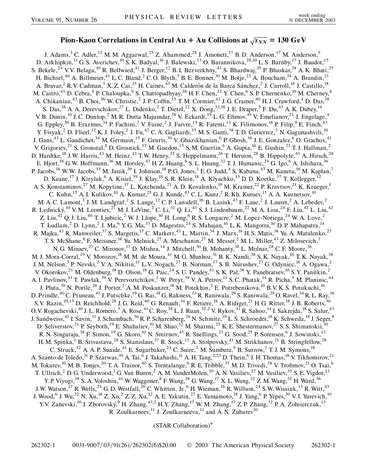## $\bf{Pion-Kaon Correlations in Central Au + Au Collisions at  $\sqrt{s_{NN}} = 130 \text{ GeV}$$

J. Adams,<sup>3</sup> C. Adler,<sup>12</sup> M. M. Aggarwal,<sup>25</sup> Z. Ahammed,<sup>28</sup> J. Amonett,<sup>17</sup> B. D. Anderson,<sup>17</sup> M. Anderson,<sup>5</sup> D. Arkhipkin,<sup>11</sup> G. S. Averichev,<sup>10</sup> S. K. Badyal,<sup>16</sup> J. Balewski,<sup>13</sup> O. Barannikova,<sup>28,10</sup> L. S. Barnby,<sup>17</sup> J. Baudot,<sup>15</sup> S. Bekele,<sup>24</sup> V.V. Belaga,<sup>10</sup> R. Bellwied,<sup>41</sup> J. Berger,<sup>12</sup> B. I. Bezverkhny,<sup>43</sup> S. Bhardwaj,<sup>29</sup> P. Bhaskar,<sup>38</sup> A. K. Bhati,<sup>25</sup> H. Bichsel,<sup>40</sup> A. Billmeier,<sup>41</sup> L. C. Bland,<sup>2</sup> C. O. Blyth,<sup>3</sup> B. E. Bonner,<sup>30</sup> M. Botje,<sup>23</sup> A. Boucham,<sup>34</sup> A. Brandin,<sup>21</sup> A. Bravar,<sup>2</sup> R.V. Cadman,<sup>1</sup> X. Z. Cai,<sup>33</sup> H. Caines,<sup>43</sup> M. Calderón de la Barca Sánchez,<sup>2</sup> J. Carroll,<sup>18</sup> J. Castillo,<sup>18</sup> M. Castro,<sup>41</sup> D. Cebra,<sup>5</sup> P. Chaloupka,<sup>9</sup> S. Chattopadhyay,<sup>38</sup> H. F. Chen,<sup>32</sup> Y. Chen,<sup>6</sup> S. P. Chernenko,<sup>10</sup> M. Cherney,<sup>8</sup> A. Chikanian,<sup>43</sup> B. Choi,<sup>36</sup> W. Christie,<sup>2</sup> J. P. Coffin,<sup>15</sup> T. M. Cormier,<sup>41</sup> J. G. Cramer,<sup>40</sup> H. J. Crawford,<sup>4</sup> D. Das,<sup>38</sup> S. Das,<sup>38</sup> A. A. Derevschikov,<sup>27</sup> L. Didenko,<sup>2</sup> T. Dietel,<sup>12</sup> X. Dong,<sup>32,18</sup> J. E. Draper,<sup>5</sup> F. Du,<sup>43</sup> A. K. Dubey,<sup>14</sup> V. B. Dunin,<sup>10</sup> J. C. Dunlop,<sup>2</sup> M. R. Dutta Majumdar,<sup>38</sup> V. Eckardt,<sup>19</sup> L. G. Efimov,<sup>10</sup> V. Emelianov,<sup>21</sup> J. Engelage,<sup>4</sup> G. Eppley,<sup>30</sup> B. Erazmus, <sup>34</sup> P. Fachini, <sup>2</sup> V. Faine, <sup>2</sup> J. Faivre, <sup>15</sup> R. Fatemi, <sup>13</sup> K. Filimonov, <sup>18</sup> P. Filip, <sup>9</sup> E. Finch, <sup>43</sup> Y. Fisyak,<sup>2</sup> D. Flierl,<sup>12</sup> K. J. Foley,<sup>2</sup> J. Fu,<sup>42</sup> C. A. Gagliardi,<sup>35</sup> M. S. Ganti,<sup>38</sup> T. D. Gutierrez,<sup>5</sup> N. Gagunashvili,<sup>10</sup> J. Gans,<sup>43</sup> L. Gaudichet,<sup>34</sup> M. Germain,<sup>15</sup> F. Geurts,<sup>30</sup> V. Ghazikhanian,<sup>6</sup> P. Ghosh,<sup>38</sup> J. E. Gonzalez,<sup>6</sup> O. Grachov,<sup>41</sup> V. Grigoriev,<sup>21</sup> S. Gronstal,<sup>8</sup> D. Grosnick,<sup>37</sup> M. Guedon,<sup>15</sup> S. M. Guertin,<sup>6</sup> A. Gupta,<sup>16</sup> E. Gushin,<sup>21</sup> T. J. Hallman,<sup>2</sup> D. Hardtke,<sup>18</sup> J.W. Harris,<sup>43</sup> M. Heinz,<sup>43</sup> T.W. Henry,<sup>35</sup> S. Heppelmann,<sup>26</sup> T. Herston,<sup>28</sup> B. Hippolyte,<sup>43</sup> A. Hirsch,<sup>28</sup> E. Hjort,<sup>18</sup> G.W. Hoffmann,<sup>36</sup> M. Horsley,<sup>43</sup> H. Z. Huang,<sup>6</sup> S. L. Huang,<sup>32</sup> T. J. Humanic,<sup>24</sup> G. Igo,<sup>6</sup> A. Ishihara,<sup>36</sup> P. Jacobs,<sup>18</sup> W.W. Jacobs,<sup>13</sup> M. Janik,<sup>39</sup> I. Johnson,<sup>18</sup> P.G. Jones,<sup>3</sup> E.G. Judd,<sup>4</sup> S. Kabana,<sup>43</sup> M. Kaneta,<sup>18</sup> M. Kaplan,<sup>7</sup> D. Keane,<sup>17</sup> J. Kiryluk,<sup>6</sup> A. Kisiel,<sup>39</sup> J. Klay,<sup>18</sup> S. R. Klein,<sup>18</sup> A. Klyachko,<sup>13</sup> D. D. Koetke,<sup>37</sup> T. Kollegger,<sup>12</sup> A. S. Konstantinov,<sup>27</sup> M. Kopytine,<sup>17</sup> L. Kotchenda,<sup>21</sup> A. D. Kovalenko,<sup>10</sup> M. Kramer,<sup>22</sup> P. Kravtsov,<sup>21</sup> K. Krueger,<sup>1</sup> C. Kuhn,<sup>15</sup> A. I. Kulikov,<sup>10</sup> A. Kumar,<sup>25</sup> G. J. Kunde,<sup>43</sup> C. L. Kunz,<sup>7</sup> R. Kh. Kutuev,<sup>11</sup> A. A. Kuznetsov,<sup>10</sup> M. A. C. Lamont,<sup>3</sup> J. M. Landgraf,<sup>2</sup> S. Lange,<sup>12</sup> C. P. Lansdell,<sup>36</sup> B. Lasiuk,<sup>43</sup> F. Laue,<sup>2</sup> J. Lauret,<sup>2</sup> A. Lebedev,<sup>2</sup> R. Lednický,<sup>10</sup> V. M. Leontiev,<sup>27</sup> M. J. LeVine,<sup>2</sup> C. Li,<sup>32</sup> Q. Li,<sup>41</sup> S. J. Lindenbaum,<sup>22</sup> M. A. Lisa,<sup>24</sup> F. Liu,<sup>42</sup> L. Liu,<sup>42</sup> Z. Liu,<sup>42</sup> Q. J. Liu,<sup>40</sup> T. Ljubicic,<sup>2</sup> W. J. Llope,<sup>30</sup> H. Long,<sup>6</sup> R. S. Longacre,<sup>2</sup> M. Lopez-Noriega,<sup>24</sup> W. A. Love,<sup>2</sup> T. Ludlam,<sup>2</sup> D. Lynn,<sup>2</sup> J. Ma,<sup>6</sup> Y. G. Ma,<sup>33</sup> D. Magestro,<sup>24</sup> S. Mahajan,<sup>16</sup> L. K. Mangotra,<sup>16</sup> D. P. Mahapatra,<sup>14</sup> R. Majka,<sup>43</sup> R. Manweiler,<sup>37</sup> S. Margetis,<sup>17</sup> C. Markert,<sup>43</sup> L. Martin,<sup>34</sup> J. Marx,<sup>18</sup> H. S. Matis,<sup>18</sup> Yu. A. Matulenko,<sup>27</sup> T. S. McShane,  $8$  F. Meissner,  $18$  Yu. Melnick,  $27$  A. Meschanin,  $27$  M. Messer,  $2$  M. L. Miller,  $43$  Z. Milosevich,  $7$ N. G. Minaev,  $2^7$  C. Mironov,  $1^7$  D. Mishra,  $1^4$  J. Mitchell,  $3^0$  B. Mohanty,  $3^8$  L. Molnar,  $2^8$  C. F. Moore,  $3^6$ M. J. Mora-Corral,<sup>19</sup> V. Morozov,<sup>18</sup> M. M. de Moura,<sup>41</sup> M. G. Munhoz,<sup>31</sup> B. K. Nandi,<sup>38</sup> S. K. Nayak,<sup>16</sup> T. K. Nayak,<sup>38</sup> J. M. Nelson,<sup>3</sup> P. Nevski,<sup>2</sup> V. A. Nikitin,<sup>11</sup> L.V. Nogach,<sup>27</sup> B. Norman,<sup>17</sup> S. B. Nurushev,<sup>27</sup> G. Odyniec,<sup>18</sup> A. Ogawa,<sup>2</sup> V. Okorokov,<sup>21</sup> M. Oldenburg,<sup>18</sup> D. Olson,<sup>18</sup> G. Paic,<sup>24</sup> S. U. Pandey,<sup>41</sup> S. K. Pal,<sup>38</sup> Y. Panebratsev,<sup>10</sup> S. Y. Panitkin,<sup>2</sup> A. I. Pavlinov,<sup>41</sup> T. Pawlak,<sup>39</sup> V. Perevoztchikov,<sup>2</sup> W. Peryt,<sup>39</sup> V. A. Petrov,<sup>11</sup> S. C. Phatak,<sup>14</sup> R. Picha,<sup>5</sup> M. Planinic,<sup>44</sup> J. Pluta,<sup>39</sup> N. Porile,<sup>28</sup> J. Porter,<sup>2</sup> A. M. Poskanzer,<sup>18</sup> M. Potekhin,<sup>2</sup> E. Potrebenikova,<sup>10</sup> B.V. K. S. Potukuchi,<sup>16</sup> D. Prindle,<sup>40</sup> C. Pruneau,<sup>41</sup> J. Putschke,<sup>19</sup> G. Rai,<sup>18</sup> G. Rakness,<sup>13</sup> R. Raniwala,<sup>29</sup> S. Raniwala,<sup>29</sup> O. Ravel,<sup>34</sup> R. L. Ray,<sup>36</sup> S.V. Razin,  $^{10,13}$  D. Reichhold,  $^{28}$  J. G. Reid,  $^{40}$  G. Renault,  $^{34}$  F. Retiere,  $^{18}$  A. Ridiger,  $^{21}$  H. G. Ritter,  $^{18}$  J. B. Roberts,  $^{30}$ O.V. Rogachevski, <sup>10</sup> J. L. Romero, <sup>5</sup> A. Rose, <sup>41</sup> C. Roy, <sup>34</sup> L. J. Ruan, <sup>32, 2</sup> V. Rykov, <sup>41</sup> R. Sahoo, <sup>14</sup> I. Sakrejda, <sup>18</sup> S. Salur, <sup>43</sup> J. Sandweiss,<sup>43</sup> I. Savin,<sup>11</sup> J. Schambach,<sup>36</sup> R. P. Scharenberg,<sup>28</sup> N. Schmitz,<sup>19</sup> L. S. Schroeder,<sup>18</sup> K. Schweda,<sup>18</sup> J. Seger,<sup>8</sup> D. Seliverstov,<sup>21</sup> P. Seyboth,<sup>19</sup> E. Shahaliev,<sup>10</sup> M. Shao,<sup>32</sup> M. Sharma,<sup>25</sup> K. E. Shestermanov,<sup>27</sup> S. S. Shimanskii,<sup>10</sup> R. N. Singaraju,<sup>38</sup> F. Simon,<sup>19</sup> G. Skoro,<sup>10</sup> N. Smirnov,<sup>43</sup> R. Snellings,<sup>23</sup> G. Sood,<sup>25</sup> P. Sorensen,<sup>6</sup> J. Sowinski,<sup>13</sup> H. M. Spinka,<sup>1</sup> B. Srivastava,<sup>28</sup> S. Stanislaus,<sup>37</sup> R. Stock,<sup>12</sup> A. Stolpovsky,<sup>41</sup> M. Strikhanov,<sup>21</sup> B. Stringfellow,<sup>28</sup> C. Struck,<sup>12</sup> A. A. P. Suaide,<sup>41</sup> E. Sugarbaker,<sup>24</sup> C. Suire,<sup>2</sup> M. Šumbera,<sup>9</sup> B. Surrow,<sup>2</sup> T. J. M. Symons,<sup>18</sup> A. Szanto de Toledo,<sup>31</sup> P. Szarwas,<sup>39</sup> A. Tai,<sup>6</sup> J. Takahashi,<sup>31</sup> A. H. Tang,<sup>2,23</sup> D. Thein,<sup>6</sup> J. H. Thomas,<sup>18</sup> V. Tikhomirov,<sup>21</sup> M. Tokarev,<sup>10</sup> M. B. Tonjes,<sup>20</sup> T. A. Trainor,<sup>40</sup> S. Trentalange,<sup>6</sup> R. E. Tribble,<sup>35</sup> M. D. Trivedi,<sup>38</sup> V. Trofimov,<sup>21</sup> O. Tsai,<sup>6</sup> T. Ullrich,<sup>2</sup> D. G. Underwood,<sup>1</sup> G. Van Buren,<sup>2</sup> A. M. VanderMolen,<sup>20</sup> A. N. Vasiliev,<sup>27</sup> M. Vasiliev,<sup>35</sup> S. E. Vigdor,<sup>13</sup> Y. P. Viyogi,<sup>38</sup> S. A. Voloshin,<sup>41</sup> W. Waggoner,<sup>8</sup> F. Wang,<sup>28</sup> G. Wang,<sup>17</sup> X. L. Wang,<sup>32</sup> Z. M. Wang,<sup>32</sup> H. Ward,<sup>36</sup> J.W. Watson,<sup>17</sup> R. Wells,<sup>24</sup> G. D. Westfall,<sup>20</sup> C. Whitten, Jr.,<sup>6</sup> H. Wieman,<sup>18</sup> R. Willson,<sup>24</sup> S.W. Wissink,<sup>13</sup> R. Witt,<sup>43</sup> J. Wood,<sup>6</sup> J. Wu,<sup>32</sup> N. Xu,<sup>18</sup> Z. Xu,<sup>2</sup> Z. Z. Xu,<sup>32</sup> A. E. Yakutin,<sup>27</sup> E. Yamamoto,<sup>18</sup> J. Yang,<sup>6</sup> P. Yepes,<sup>30</sup> V. I. Yurevich,<sup>10</sup> Y.V. Zanevski, <sup>10</sup> I. Zborovský, <sup>9</sup> H. Zhang, <sup>43,2</sup> H.Y. Zhang, <sup>17</sup> W.M. Zhang, <sup>17</sup> Z.P. Zhang, <sup>32</sup> P. A. Żołnierczuk, <sup>13</sup> R. Zoulkarneev, $^{11}$  J. Zoulkarneeva, $^{11}$  and A. N. Zubarev $^{10}$ 

(STAR Collaboration)\*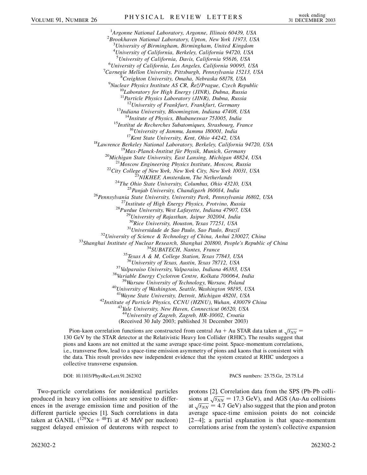<sup>1</sup> Argonne National Laboratory, Argonne, Illinois 60439, USA<br><sup>2</sup> Brookhayan National Laboratory, Unton, Naw York 11073, US *Brookhaven National Laboratory, Upton, New York 11973, USA* 3 *University of Birmingham, Birmingham, United Kingdom* 4 *University of California, Berkeley, California 94720, USA* <sup>5</sup> University of California, Davis, California 95616, USA<br><sup>6</sup> University of California, Los Angeles, California 90005, I *University of California, Los Angeles, California 90095, USA* <sup>7</sup> <sup>7</sup> Carnegie Mellon University, Pittsburgh, Pennsylvania 15213, USA <sup>8</sup> Creighton University, Omaha, Nebraska 68178, USA <sup>9</sup>Nuclear Physics Institute AS CR, Řež/Prague, Czech Republic<sup>10</sup>Laboratory for High Energy (JINR), Dubna, Russia <sup>11</sup> Particle Physics Laboratory (JINR), Dubna, Russia<br><sup>12</sup> University of Frankfurt, Frankfurt, Germany <sup>12</sup>University of Frankfurt, Frankfurt, Germany<br><sup>13</sup>Indiana University, Bloomington, Indiana 47408, USA<br><sup>14</sup>Institute of Physics, Bhubaneswar 751005, India<br><sup>15</sup>Institute de Recherches Subdaneswar 751005, India<br><sup>15</sup>Institu <sup>30</sup>Rice University, Houston, Texas 77251, USA<br><sup>31</sup>Universidade de Sao Paulo, Sao Paulo, Brazil<br><sup>32</sup>University of Science & Technology of China, Anhui 230027, China<br><sup>33</sup>Shanghai Institute of Nuclear Research, Shanghai 201  $^{37}$ Valparaiso University, Valparaiso, Indiana 46383, USA<br> $^{38}$ Variable Energy Cyclotron Centre, Kolkata 700064, India<br> $^{39}$ Warsaw University of Technology, Warsaw, Poland<br> $^{40}$ University of Washington, Seattle, Wash <sup>42</sup>*Institute of Particle Physics, CCNU (HZNU), Wuhan, 430079 China* <sup>43</sup>*Yale University, New Haven, Connecticut 06520, USA* <sup>44</sup>*University of Zagreb, Zagreb, HR-10002, Croatia* (Received 30 July 2003; published 31 December 2003)

Pion-kaon correlation functions are constructed from central  $Au + Au$  STAR data taken at  $\sqrt{s_{NN}}$  = 130 GeV by the STAR detector at the Relativistic Heavy Ion Collider (RHIC). The results suggest that pions and kaons are not emitted at the same average space-time point. Space-momentum correlations, i.e., transverse flow, lead to a space-time emission asymmetry of pions and kaons that is consistent with the data. This result provides new independent evidence that the system created at RHIC undergoes a collective transverse expansion.

DOI: 10.1103/PhysRevLett.91.262302 PACS numbers: 25.75.Gz, 25.75.Ld

protons [2]. Correlation data from the SPS (Pb-Pb colliprotons  $\left[2\right]$ : Correlation data from the S1.3 (1.0-1.0 com-<br>sions at  $\sqrt{s_{NN}}$  = 17.3 GeV), and AGS (Au-Au collisions at  $\sqrt{s_{NN}}$  = 17.5 GeV), and AGS (Au-Au corrisions at  $\sqrt{s_{NN}}$  = 4.7 GeV) also suggest that the pion and proton average space-time emission points do not coincide

Two-particle correlations for nonidentical particles produced in heavy ion collisions are sensitive to differences in the average emission time and position of the different particle species [1]. Such correlations in data taken at GANIL  $(^{129}Xe + ^{48}Ti$  at 45 MeV per nucleon) suggest delayed emission of deuterons with respect to

 $[2-4]$ ; a partial explanation is that space-momentum correlations arise from the system's collective expansion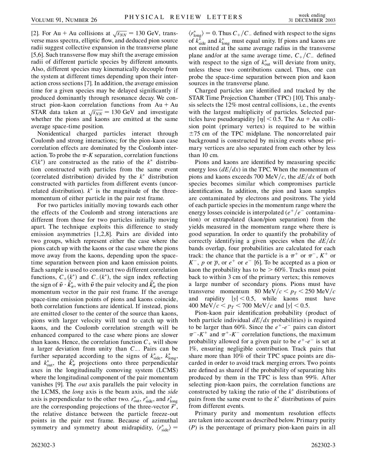[2]. For Au + Au collisions at  $\sqrt{s_{NN}}$  = 130 GeV, transverse mass spectra, elliptic flow, and deduced pion source radii suggest collective expansion in the transverse plane [5,6]. Such transverse flow may shift the average emission radii of different particle species by different amounts. Also, different species may kinematically decouple from the system at different times depending upon their interaction cross sections [7]. In addition, the average emission time for a given species may be delayed significantly if produced dominantly through resonance decay. We construct pion-kaon correlation functions from  $Au + Au$ STAR data taken at  $\sqrt{s_{NN}}$  = 130 GeV and investigate whether the pions and kaons are emitted at the same average space-time position.

Nonidentical charged particles interact through Coulomb and strong interactions; for the pion-kaon case correlation effects are dominated by the Coulomb interaction. To probe the  $\pi$ -*K* separation, correlation functions  $C(k^*)$  are constructed as the ratio of the  $k^*$  distribution constructed with particles from the same event (correlated distribution) divided by the  $k^*$  distribution constructed with particles from different events (uncorrelated distribution).  $k^*$  is the magnitude of the threemomentum of either particle in the pair rest frame.

For two particles initially moving towards each other the effects of the Coulomb and strong interactions are different from those for two particles initially moving apart. The technique exploits this difference to study emission asymmetries [1,2,8]. Pairs are divided into two groups, which represent either the case where the pions catch up with the kaons or the case where the pions move away from the kaons, depending upon the spacetime separation between pion and kaon emission points. Each sample is used to construct two different correlation functions,  $C_+(k^*)$  and  $C_-(k^*)$ , the sign index reflecting the sign of  $\vec{v} \cdot \vec{k}_{\pi}^*$ , with  $\vec{v}$  the pair velocity and  $\vec{k}_{\pi}^*$  the pion momentum vector in the pair rest frame. If the average space-time emission points of pions and kaons coincide, both correlation functions are identical. If instead, pions are emitted closer to the center of the source than kaons, pions with larger velocity will tend to catch up with kaons, and the Coulomb correlation strength will be enhanced compared to the case where pions are slower than kaons. Hence, the correlation function  $C_+$  will show a larger deviation from unity than *C*. Pairs can be further separated according to the signs of  $k_{\text{side}}^*$ ,  $k_{\text{long}}^*$ , and  $k_{\text{out}}^*$ , the  $\vec{k}_{\pi}^*$  projections onto three perpendicular axes in the longitudinally comoving system (LCMS) where the longitudinal component of the pair momentum vanishes [9]. The *out* axis parallels the pair velocity in the LCMS, the *long* axis is the beam axis, and the *side* axis is perpendicular to the other two.  $r_{\text{out}}^*$ ,  $r_{\text{side}}^*$ , and  $r_{\text{long}}^*$ are the corresponding projections of the three-vector  $\vec{r}^*$ , the relative distance between the particle freeze-out points in the pair rest frame. Because of azimuthal symmetry and symmetry about midrapidity,  $\langle r_{\text{side}}^* \rangle =$ 

 $\langle r_{\text{long}}^* \rangle = 0$ . Thus  $C_+/C_-$  defined with respect to the signs of  $k_{\text{side}}^*$  and  $k_{\text{long}}^*$  must equal unity. If pions and kaons are not emitted at the same average radius in the transverse plane and/or at the same average time,  $C_{+}/C_{-}$  defined with respect to the sign of  $k_{out}^*$  will deviate from unity, unless these two contributions cancel. Thus, one can probe the space-time separation between pion and kaon sources in the transverse plane.

Charged particles are identified and tracked by the STAR Time Projection Chamber (TPC) [10]. This analysis selects the 12% most central collisions, i.e., the events with the largest multiplicity of particles. Selected particles have pseudorapidity  $|\eta|$  < 0.5. The Au + Au collision point (primary vertex) is required to be within  $\pm$ 75 cm of the TPC midplane. The noncorrelated pair background is constructed by mixing events whose primary vertices are also separated from each other by less than 10 cm.

Pions and kaons are identified by measuring specific energy loss  $\left(\frac{dE}{dx}\right)$  in the TPC. When the momentum of pions and kaons exceeds 700 MeV/c, the  $dE/dx$  of both species becomes similar which compromises particle identification. In addition, the pion and kaon samples are contaminated by electrons and positrons. The yield of each particle species in the momentum range where the energy losses coincide is interpolated  $(e^+/e^-$  contamination) or extrapolated (kaon/pion separation) from the yields measured in the momentum range where there is good separation. In order to quantify the probability of correctly identifying a given species when the  $dE/dx$ bands overlap, four probabilities are calculated for each track: the chance that the particle is a  $\pi^{+}$  or  $\pi^{-}$ ,  $K^{+}$  or  $K^-$ , *p* or  $\overline{p}$ , or  $e^+$  or  $e^-$  [6]. To be accepted as a pion or kaon the probability has to be *>* 60%. Tracks must point back to within 3 cm of the primary vertex; this removes a large number of secondary pions. Pions must have transverse momentum 80 MeV/ $c < p_T < 250$  MeV/ $c$ and rapidity  $|y| < 0.5$ , while kaons must have 400 MeV/ $c < p_T < 700$  MeV/ $c$  and  $|y| < 0.5$ .

Pion-kaon pair identification probability (product of both particle individual  $dE/dx$  probabilities) is required to be larger than 60%. Since the  $e^+$ - $e^-$  pairs can distort  $\pi^-$ -K<sup>+</sup> and  $\pi^+$ -K<sup>-</sup> correlation functions, the maximum probability allowed for a given pair to be  $e^+$ - $e^-$  is set at 1%, ensuring negligible contribution. Track pairs that share more than 10% of their TPC space points are discarded in order to avoid track merging errors. Two points are defined as shared if the probability of separating hits produced by them in the TPC is less than 99%. After selecting pion-kaon pairs, the correlation functions are constructed by taking the ratio of the  $k^*$  distributions of pairs from the same event to the  $k^*$  distributions of pairs from different events.

Primary purity and momentum resolution effects are taken into account as described below. Primary purity (*P*) is the percentage of primary pion-kaon pairs in all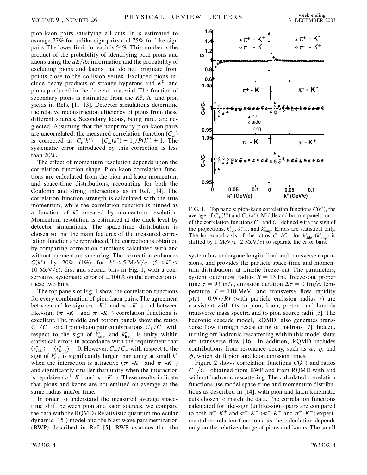pion-kaon pairs satisfying all cuts. It is estimated to average 77% for unlike-sign pairs and 75% for like-sign pairs. The lower limit for each is 54%. This number is the product of the probability of identifying both pions and kaons using the  $dE/dx$  information and the probability of excluding pions and kaons that do not originate from points close to the collision vertex. Excluded pions include decay products of strange hyperons and  $K_s^0$ , and pions produced in the detector material. The fraction of secondary pions is estimated from the  $K_s^0$ ,  $\Lambda$ , and pion yields in Refs. [11–13]. Detector simulations determine the relative reconstruction efficiency of pions from these different sources. Secondary kaons, being rare, are neglected. Assuming that the nonprimary pion-kaon pairs are uncorrelated, the measured correlation function (*Cm*) is corrected as  $C_c(k^*) = [C_m(k^*) - 1]/P(k^*) + 1$ . The systematic error introduced by this correction is less than 20%.

The effect of momentum resolution depends upon the correlation function shape. Pion-kaon correlation functions are calculated from the pion and kaon momentum and space-time distributions, accounting for both the Coulomb and strong interactions as in Ref. [14]. The correlation function strength is calculated with the true momentum, while the correlation function is binned as a function of  $k^*$  smeared by momentum resolution. Momentum resolution is estimated at the track level by detector simulations. The space-time distribution is chosen so that the main features of the measured correlation function are reproduced. The correction is obtained by comparing correlation functions calculated with and without momentum smearing. The correction enhances *C*( $k^*$ ) by 20% (1%) for  $k^*$  < 5 MeV/c (5 <  $k^*$  < 10 MeV $/c$ ), first and second bins in Fig. 1, with a conservative systematic error of  $\pm 100\%$  on the correction of these two bins.

The top panels of Fig. 1 show the correlation functions for every combination of pion-kaon pairs. The agreement between unlike-sign ( $\pi^-$ -K<sup>+</sup> and  $\pi^+$ -K<sup>-</sup>) and between like-sign  $(\pi^+$ -K<sup>+</sup> and  $\pi^-$ -K<sup>-</sup>) correlation functions is excellent. The middle and bottom panels show the ratios  $C_{+}/C_{-}$  for all pion-kaon pair combinations.  $C_{+}/C_{-}$  with respect to the sign of  $k_{\text{side}}^*$  and  $k_{\text{long}}^*$  is unity within statistical errors in accordance with the requirement that  $\langle r_{\text{side}}^* \rangle = \langle r_{\text{long}}^* \rangle = 0$ . However,  $C_+/C_-$  with respect to the sign of  $k_{\text{out}}^*$  is significantly larger than unity at small  $k^*$ when the interaction is attractive  $(\pi^{-1}K^{+}$  and  $\pi^{+1}K^{-})$ and significantly smaller than unity when the interaction is repulsive  $(\pi^+$ -K<sup>+</sup> and  $\pi^-$ -K<sup>-</sup>). These results indicate that pions and kaons are not emitted on average at the same radius and/or time.

In order to understand the measured average spacetime shift between pion and kaon sources, we compare the data with the RQMD (Relativistic quantum molecular dynamic [15]) model and the blast wave parametrization (BWP) described in Ref. [5]. BWP assumes that the



FIG. 1. Top panels: pion-kaon correlation functions  $C(k^*)$ , the average of  $C_+(k^*)$  and  $C_-(k^*)$ . Middle and bottom panels: ratio of the correlation functions  $C_+$  and  $C_-$  defined with the sign of the projections,  $k_{\text{out}}^*$ ,  $k_{\text{side}}^*$ , and  $k_{\text{long}}^*$ . Errors are statistical only. The horizontal axis of the ratios  $C_+/C_-$  for  $k_{\text{side}}^*$  ( $k_{\text{long}}^*$ ) is shifted by 1 MeV/ $c$  (2 MeV/ $c$ ) to separate the error bars.

system has undergone longitudinal and transverse expansions, and provides the particle space-time and momentum distributions at kinetic freeze-out. The parameters, system outermost radius  $R = 13$  fm, freeze-out proper time  $\tau = 93$  m/c, emission duration  $\Delta \tau = 0$  fm/c, temperature  $T = 110$  MeV, and transverse flow rapidity  $\rho(r) = 0.9(r/R)$  (with particle emission radius *r*) are consistent with fits to pion, kaon, proton, and lambda transverse mass spectra and to pion source radii [5]. The hadronic cascade model, RQMD, also generates transverse flow through rescattering of hadrons [7]. Indeed, turning off hadronic rescattering within this model shuts off transverse flow [16]. In addition, RQMD includes contributions from resonance decay, such as  $\omega$ ,  $\eta$ , and  $\phi$ , which shift pion and kaon emission times.

Figure 2 shows correlation functions  $C(k^*)$  and ratios  $C_{+}/C_{-}$  obtained from BWP and from RQMD with and without hadronic rescattering. The calculated correlation functions use model space-time and momentum distributions as described in [14], with pion and kaon kinematic cuts chosen to match the data. The correlation functions calculated for like-sign (unlike-sign) pairs are compared to both  $\pi^+$ -K<sup>+</sup> and  $\pi^-$ -K<sup>-</sup> ( $\pi^-$ -K<sup>+</sup> and  $\pi^+$ -K<sup>-</sup>) experimental correlation functions, as the calculation depends only on the relative charge of pions and kaons. The small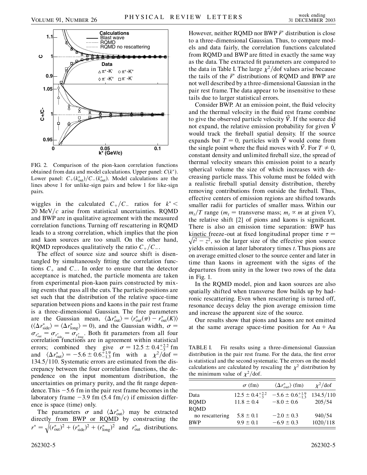

FIG. 2. Comparison of the pion-kaon correlation functions obtained from data and model calculations. Upper panel: *Ck*. Lower panel:  $C_+(k_{out}^*)/C_-(k_{out}^*)$ . Model calculations are the lines above 1 for unlike-sign pairs and below 1 for like-sign pairs.

wiggles in the calculated  $C_{+}/C_{-}$  ratios for  $k^*$  <  $20 \text{ MeV}/c$  arise from statistical uncertainties. RQMD and BWP are in qualitative agreement with the measured correlation functions. Turning off rescattering in RQMD leads to a strong correlation, which implies that the pion and kaon sources are too small. On the other hand, RQMD reproduces qualitatively the ratio  $C_{+}/C_{-}$ .

The effect of source size and source shift is disentangled by simultaneously fitting the correlation functions  $C_+$  and  $C_-$ . In order to ensure that the detector acceptance is matched, the particle momenta are taken from experimental pion-kaon pairs constructed by mixing events that pass all the cuts. The particle positions are set such that the distribution of the relative space-time separation between pions and kaons in the pair rest frame is a three-dimensional Gaussian. The free parameters are the Gaussian mean,  $\langle \Delta r_{\text{out}}^* \rangle = \langle r_{\text{out}}^* (\pi) - r_{\text{out}}^* (K) \rangle$  $(\langle \Delta r_{\text{side}}^* \rangle = \langle \Delta r_{\text{long}}^* \rangle = 0)$ , and the Gaussian width,  $\sigma =$  $\sigma_{r_{\text{out}}^*} = \sigma_{r_{\text{side}}^*} = \sigma_{r_{\text{long}}^*}$ . Both fit parameters from all four correlation functions are in agreement within statistical errors; combined they give  $\sigma = 12.5 \pm 0.4^{+2.2}_{-3}$  fm and  $\langle \Delta r_{\text{out}}^* \rangle = -5.6 \pm 0.6_{-1.3}^{+1.9}$  fm with a  $\chi^2/\text{dof} =$ 134.5/110. Systematic errors are estimated from the discrepancy between the four correlation functions, the dependence on the input momentum distribution, the uncertainties on primary purity, and the fit range dependence. This  $-5.6$  fm in the pair rest frame becomes in the laboratory frame  $-3.9$  fm (5.4 fm/c) if emission difference is space (time) only.

The parameters  $\sigma$  and  $\langle \Delta r_{\text{out}}^* \rangle$  may be extracted directly from BWP or RQMD by constructing the  $r^* = \sqrt{(r_{\text{out}}^*)^2 + (r_{\text{side}}^*)^2 + (r_{\text{long}}^*)^2}$  and  $r_{\text{out}}^*$  distributions.

However, neither RQMD nor BWP  $\vec{r}^*$  distribution is close to a three-dimensional Gaussian. Thus, to compare models and data fairly, the correlation functions calculated from RQMD and BWP are fitted in exactly the same way as the data. The extracted fit parameters are compared to the data in Table I. The large  $\chi^2$ /dof values arise because the tails of the  $\vec{r}^*$  distributions of RQMD and BWP are not well described by a three-dimensional Gaussian in the pair rest frame. The data appear to be insensitive to these tails due to larger statistical errors.

Consider BWP. At an emission point, the fluid velocity and the thermal velocity in the fluid rest frame combine to give the observed particle velocity  $\dot{V}$ . If the source did not expand, the relative emission probability for given *V~* would track the fireball spatial density. If the source expands but  $T = 0$ , particles with  $\dot{V}$  would come from the single point where the fluid moves with  $\vec{V}$ . For  $T \neq 0$ , constant density and unlimited fireball size, the spread of thermal velocity smears this emission point to a nearly spherical volume the size of which increases with decreasing particle mass. This volume must be folded with a realistic fireball spatial density distribution, thereby removing contributions from outside the fireball. Thus, effective centers of emission regions are shifted towards smaller radii for particles of smaller mass. Within our  $m_t/T$  range ( $m_t$  = transverse mass;  $m_t \propto m$  at given *V*), the relative shift [2] of pions and kaons is significant. There is also an emission time separation: BWP has kinetic freeze-out at fixed longitudinal proper time  $\tau =$ **EXIMELLE THESES-OUT AT ITS REPORT INTERFACT STATE THE**  $\tau = \sqrt{t^2 - z^2}$ **, so the larger size of the effective pion source** yields emission at later laboratory times *t*. Thus pions are on average emitted closer to the source center and later in time than kaons in agreement with the signs of the departures from unity in the lower two rows of the data in Fig. 1.

In the RQMD model, pion and kaon sources are also spatially shifted when transverse flow builds up by hadronic rescattering. Even when rescattering is turned off, resonance decays delay the pion average emission time and increase the apparent size of the source.

Our results show that pions and kaons are not emitted at the same average space-time position for  $Au + Au$ 

TABLE I. Fit results using a three-dimensional Gaussian distribution in the pair rest frame. For the data, the first error is statistical and the second systematic. The errors on the model calculations are calculated by rescaling the  $\chi^2$  distribution by the minimum value of  $\chi^2$ /dof.

|                 | $\sigma$ (fm)              | $\langle \Delta r_{out}^* \rangle$ (fm) | $\chi^2$ /dof |
|-----------------|----------------------------|-----------------------------------------|---------------|
| Data            | $12.5 \pm 0.4_{-3}^{+2.2}$ | $-5.6 \pm 0.6^{+1.9}_{-1.3}$            | 134.5/110     |
| <b>ROMD</b>     | $11.8 \pm 0.4$             | $-8.0 \pm 0.6$                          | 205/54        |
| <b>RQMD</b>     |                            |                                         |               |
| no rescattering | $5.8 \pm 0.1$              | $-2.0 \pm 0.3$                          | 940/54        |
| <b>BWP</b>      | $9.9 \pm 0.1$              | $-6.9 \pm 0.3$                          | 1020/118      |